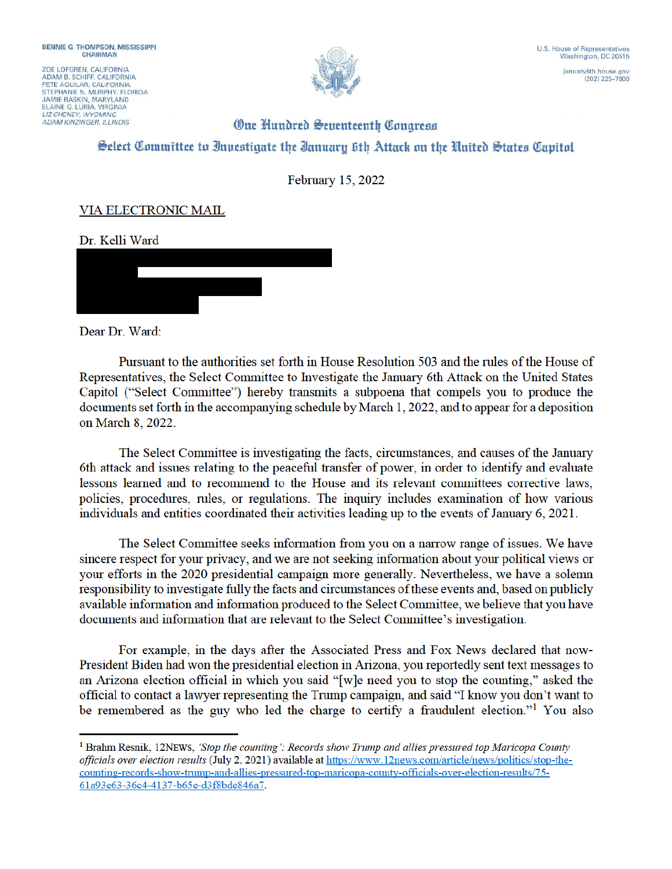ZOE LOFGREN, CALIFORNIA ADAM B. SCHIFF CALIFORNIA PETE AGUILAR, CALIFORNIA STEPHANIE N. MURPHY, FLORIDA **JAMIE RASKIN, MARYLAND** ELAINE G. LURIA, VIRGINIA<br>LIZ CHENEY, WYOMING **ADAM KINZINGER, ILLINOIS** 



## **One Hundred Seventeenth Congress** Select Committee to Investigate the Ianuary 6th Attack on the United States Capitol

February 15, 2022

## VIA ELECTRONIC MAIL

Dr. Kelli Ward



Dear Dr. Ward:

Pursuant to the authorities set forth in House Resolution 503 and the rules of the House of Representatives, the Select Committee to Investigate the January 6th Attack on the United States Capitol ("Select Committee") hereby transmits a subpoena that compels you to produce the documents set forth in the accompanying schedule by March 1, 2022, and to appear for a deposition on March 8, 2022.

The Select Committee is investigating the facts, circumstances, and causes of the January 6th attack and issues relating to the peaceful transfer of power, in order to identify and evaluate lessons learned and to recommend to the House and its relevant committees corrective laws, policies, procedures, rules, or regulations. The inquiry includes examination of how various individuals and entities coordinated their activities leading up to the events of January 6, 2021.

The Select Committee seeks information from you on a narrow range of issues. We have sincere respect for your privacy, and we are not seeking information about your political views or your efforts in the 2020 presidential campaign more generally. Nevertheless, we have a solemn responsibility to investigate fully the facts and circumstances of these events and, based on publicly available information and information produced to the Select Committee, we believe that you have documents and information that are relevant to the Select Committee's investigation.

For example, in the days after the Associated Press and Fox News declared that now-President Biden had won the presidential election in Arizona, you reportedly sent text messages to an Arizona election official in which you said "[w]e need you to stop the counting," asked the official to contact a lawyer representing the Trump campaign, and said "I know you don't want to be remembered as the guy who led the charge to certify a fraudulent election."<sup>1</sup> You also

<sup>&</sup>lt;sup>1</sup> Brahm Resnik, 12NEWS, 'Stop the counting': Records show Trump and allies pressured top Maricopa County officials over election results (July 2, 2021) available at https://www.12news.com/article/news/politics/stop-thecounting-records-show-trump-and-allies-pressured-top-maricopa-county-officials-over-election-results/75-61a93e63-36c4-4137-b65e-d3f8bde846a7.